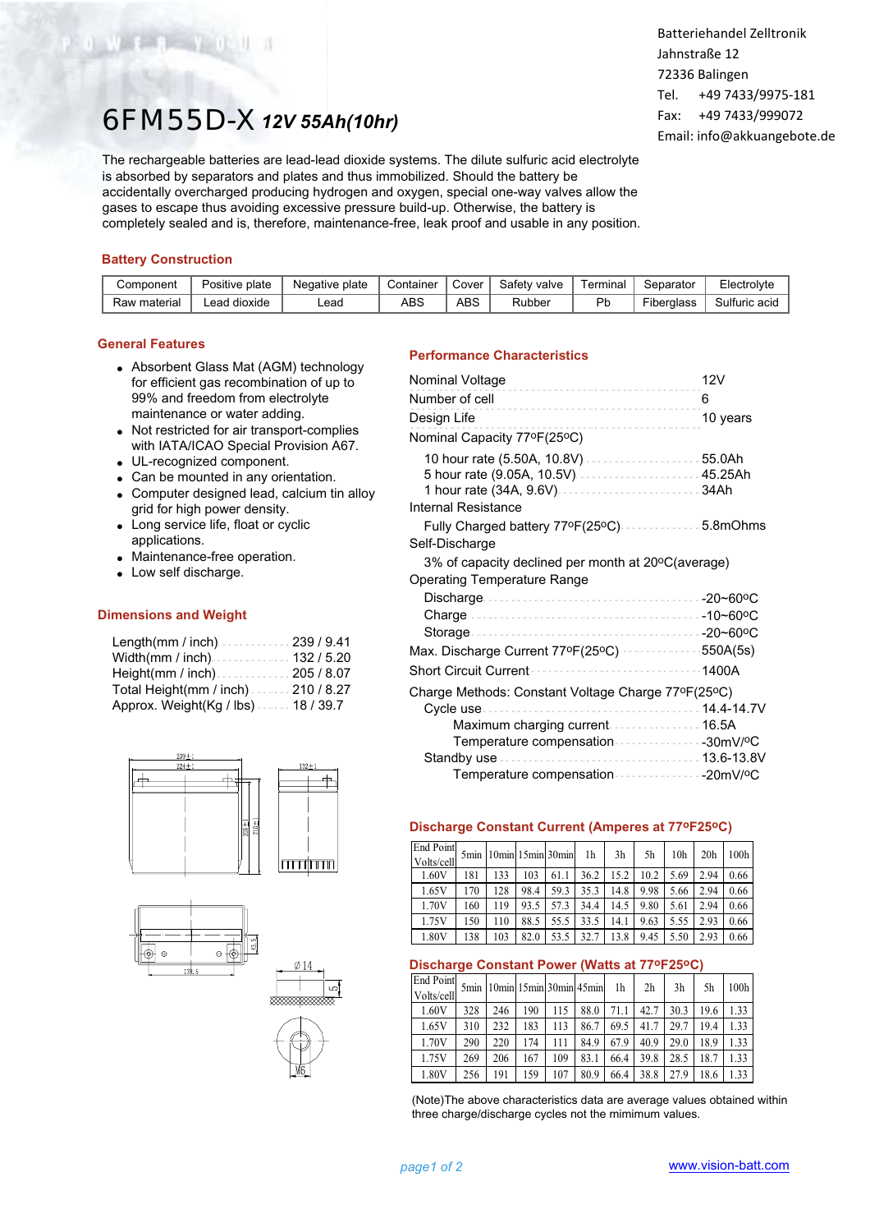# 6FM55D-X*12V 55Ah(10hr)*

The rechargeable batteries are lead-lead dioxide systems. The dilute sulfuric acid electrolyte is absorbed by separators and plates and thus immobilized. Should the battery be accidentally overcharged producing hydrogen and oxygen, special one-way valves allow the gases to escape thus avoiding excessive pressure build-up. Otherwise, the battery is completely sealed and is, therefore, maintenance-free, leak proof and usable in any position.

### **Battery Construction**

**CONTRACTOR** 

| Component    | Positive plate | Negative plate | Container | Cover | Safety valve | Terminal | Separator  | Electrolyte   |
|--------------|----------------|----------------|-----------|-------|--------------|----------|------------|---------------|
| Raw material | Lead dioxide   | -ead           | ABS       | ABS   | Rubber       |          | Fiberalass | Sulfuric acid |

### **General Features**

- Absorbent Glass Mat (AGM) technology for efficient gas recombination of up to 99% and freedom from electrolyte maintenance or water adding.
- Not restricted for air transport-complies with IATA/ICAO Special Provision A67.
- UL-recognized component.
- Can be mounted in any orientation.
- Computer designed lead, calcium tin alloy grid for high power density.
- Long service life, float or cyclic applications.
- Maintenance-free operation.
- Low self discharge.

### **Dimensions and Weight**

| Length(mm / inch). 239 / 9.41       |  |
|-------------------------------------|--|
|                                     |  |
|                                     |  |
| Total Height(mm / inch). 210 / 8.27 |  |
| Approx. Weight(Kg / lbs). 18 / 39.7 |  |







### **Performance Characteristics**

| Nominal Voltage                                                        | 12V      |
|------------------------------------------------------------------------|----------|
| Number of cell                                                         | 6        |
| Design Life                                                            | 10 years |
| Nominal Capacity 77ºF(25ºC)                                            |          |
| 10 hour rate (5.50A, 10.8V)  55.0Ah                                    |          |
| Internal Resistance                                                    |          |
| Fully Charged battery 77ºF(25ºC)  5.8mOhms                             |          |
| Self-Discharge                                                         |          |
| 3% of capacity declined per month at 20°C(average)                     |          |
| <b>Operating Temperature Range</b>                                     |          |
|                                                                        |          |
|                                                                        |          |
|                                                                        |          |
| Max. Discharge Current 77ºF(25ºC) · · · · · · · · · · · · · · 550A(5s) |          |
| <b>Short Circuit Current</b>                                           | 1400A    |
| Charge Methods: Constant Voltage Charge 77°F(25°C)                     |          |
|                                                                        |          |
| Maximum charging current  16.5A                                        |          |
| Temperature compensation 30mV/ºC                                       |          |
|                                                                        |          |
| Temperature compensation 20mV/ºC                                       |          |

### **Discharge Constant Current (Amperes at 77oF25oC)**

| <b>End Point</b><br>Volts/cell |     | 5min 10min 15min 30min |      |      | 1h   | 3h   | 5h   | 10 <sub>h</sub> | 20 <sub>h</sub> | 100 <sub>h</sub> |
|--------------------------------|-----|------------------------|------|------|------|------|------|-----------------|-----------------|------------------|
| 1.60V                          | 181 | 133                    | 103  | 61.1 | 36.2 | 15.2 | 10.2 | 5.69            | 2.94            | 0.66             |
| 1.65V                          | 170 | 128                    | 98.4 | 59.3 | 35.3 | 14.8 | 9.98 | 5.66            | 2.94            | 0.66             |
| 1.70V                          | 160 | 119                    | 93.5 | 57.3 | 34.4 | 14.5 | 9.80 | 5.61            | 2.94            | 0.66             |
| 1.75V                          | 150 | 110                    | 88.5 | 55.5 | 33.5 | 14.1 | 9.63 | 5.55            | 2.93            | 0.66             |
| 1.80V                          | 138 | 103                    | 82.0 | 53.5 | 32.7 | 13.8 | 9.45 | 5.50            | 2.93            | 0.66             |

#### **Discharge Constant Power (Watts at 77oF25oC)**

| End Point<br>Volts/cell |     | 5min 10min 15min 30min 45min |     |     |      | 1h   | 2 <sub>h</sub> | 3h   | 5h   | 100h |
|-------------------------|-----|------------------------------|-----|-----|------|------|----------------|------|------|------|
| 1.60V                   | 328 | 246                          | 190 | 115 | 88.0 | 71.1 | 42.7           | 30.3 | 19.6 | 1.33 |
| 1.65V                   | 310 | 232                          | 183 | 113 | 86.7 | 69.5 | 41.7           | 29.7 | 19.4 | 1.33 |
| 1.70V                   | 290 | 220                          | 174 | 111 | 84.9 | 67.9 | 40.9           | 29.0 | 18.9 | 1.33 |
| 1.75V                   | 269 | 206                          | 167 | 109 | 83.1 | 66.4 | 39.8           | 28.5 | 18.7 | 1.33 |
| 1.80V                   | 256 | 191                          | 159 | 107 | 80.9 | 66.4 | 38.8           | 27.9 | 18.6 | 1.33 |

(Note)The above characteristics data are average values obtained within three charge/discharge cycles not the mimimum values.

Batteriehandel Zelltronik Jahnstraße 12 72336 Balingen Tel. +49 7433/9975-181 Fax: +49 7433/999072 Email: info@akkuangebote.de